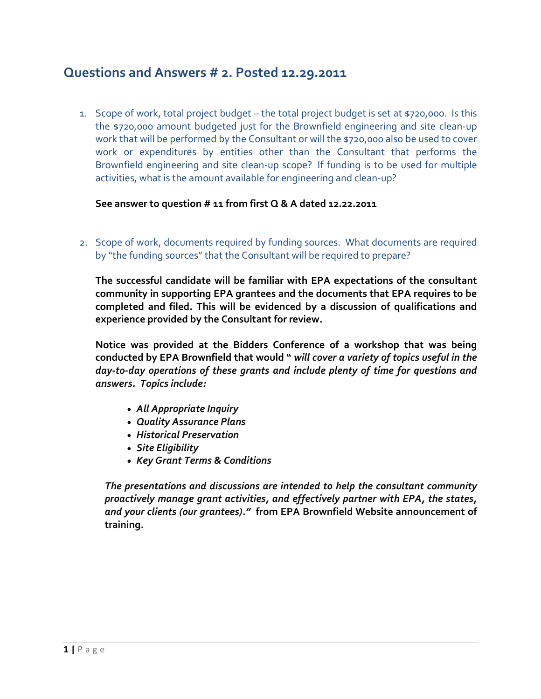# **Questions and Answers # 2. Posted 12.29.2011**

1. Scope of work, total project budget – the total project budget is set at \$720,000. Is this the \$720,000 amount budgeted just for the Brownfield engineering and site clean-up work that will be performed by the Consultant or will the \$720,000 also be used to cover work or expenditures by entities other than the Consultant that performs the Brownfield engineering and site clean-up scope? If funding is to be used for multiple activities, what is the amount available for engineering and clean-up?

**See answer to question # 11 from first Q & A dated 12.22.2011**

2. Scope of work, documents required by funding sources. What documents are required by "the funding sources" that the Consultant will be required to prepare?

**The successful candidate will be familiar with EPA expectations of the consultant community in supporting EPA grantees and the documents that EPA requires to be completed and filed. This will be evidenced by a discussion of qualifications and experience provided by the Consultant for review.** 

**Notice was provided at the Bidders Conference of a workshop that was being conducted by EPA Brownfield that would "** *will cover a variety of topics useful in the day-to-day operations of these grants and include plenty of time for questions and answers. Topics include:*

- *All Appropriate Inquiry*
- *Quality Assurance Plans*
- *Historical Preservation*
- *Site Eligibility*
- *Key Grant Terms & Conditions*

*The presentations and discussions are intended to help the consultant community proactively manage grant activities, and effectively partner with EPA, the states, and your clients (our grantees)."* **from EPA Brownfield Website announcement of training.**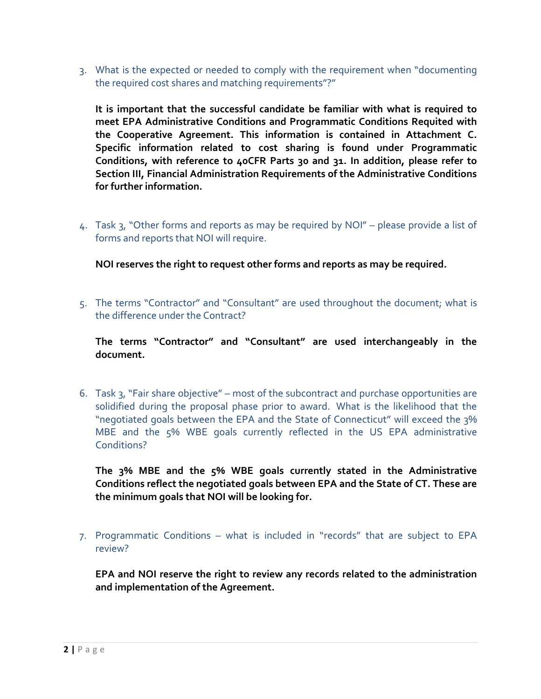3. What is the expected or needed to comply with the requirement when "documenting the required cost shares and matching requirements"?"

**It is important that the successful candidate be familiar with what is required to meet EPA Administrative Conditions and Programmatic Conditions Requited with the Cooperative Agreement. This information is contained in Attachment C. Specific information related to cost sharing is found under Programmatic Conditions, with reference to 40CFR Parts 30 and 31. In addition, please refer to Section III, Financial Administration Requirements of the Administrative Conditions for further information.** 

4. Task 3, "Other forms and reports as may be required by NOI" – please provide a list of forms and reports that NOI will require.

**NOI reserves the right to request other forms and reports as may be required.** 

5. The terms "Contractor" and "Consultant" are used throughout the document; what is the difference under the Contract?

**The terms "Contractor" and "Consultant" are used interchangeably in the document.**

6. Task 3, "Fair share objective" – most of the subcontract and purchase opportunities are solidified during the proposal phase prior to award. What is the likelihood that the "negotiated goals between the EPA and the State of Connecticut" will exceed the 3% MBE and the 5% WBE goals currently reflected in the US EPA administrative Conditions?

**The 3% MBE and the 5% WBE goals currently stated in the Administrative Conditions reflect the negotiated goals between EPA and the State of CT. These are the minimum goals that NOI will be looking for.** 

7. Programmatic Conditions – what is included in "records" that are subject to EPA review?

**EPA and NOI reserve the right to review any records related to the administration and implementation of the Agreement.**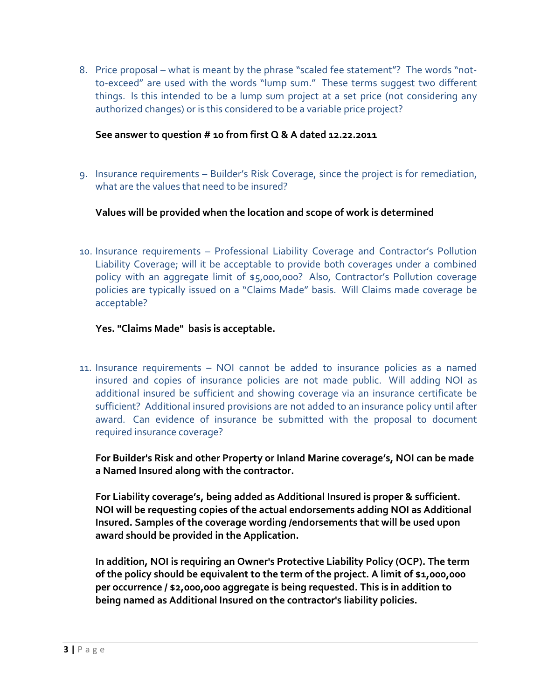8. Price proposal – what is meant by the phrase "scaled fee statement"? The words "notto-exceed" are used with the words "lump sum." These terms suggest two different things. Is this intended to be a lump sum project at a set price (not considering any authorized changes) or is this considered to be a variable price project?

#### **See answer to question # 10 from first Q & A dated 12.22.2011**

9. Insurance requirements – Builder's Risk Coverage, since the project is for remediation, what are the values that need to be insured?

**Values will be provided when the location and scope of work is determined**

10. Insurance requirements – Professional Liability Coverage and Contractor's Pollution Liability Coverage; will it be acceptable to provide both coverages under a combined policy with an aggregate limit of \$5,000,000? Also, Contractor's Pollution coverage policies are typically issued on a "Claims Made" basis. Will Claims made coverage be acceptable?

### **Yes. "Claims Made" basis is acceptable.**

11. Insurance requirements – NOI cannot be added to insurance policies as a named insured and copies of insurance policies are not made public. Will adding NOI as additional insured be sufficient and showing coverage via an insurance certificate be sufficient? Additional insured provisions are not added to an insurance policy until after award. Can evidence of insurance be submitted with the proposal to document required insurance coverage?

**For Builder's Risk and other Property or Inland Marine coverage's, NOI can be made a Named Insured along with the contractor.**

**For Liability coverage's, being added as Additional Insured is proper & sufficient. NOI will be requesting copies of the actual endorsements adding NOI as Additional Insured. Samples of the coverage wording /endorsements that will be used upon award should be provided in the Application.** 

**In addition, NOI is requiring an Owner's Protective Liability Policy (OCP). The term of the policy should be equivalent to the term of the project. A limit of \$1,000,000 per occurrence / \$2,000,000 aggregate is being requested. This is in addition to being named as Additional Insured on the contractor's liability policies.**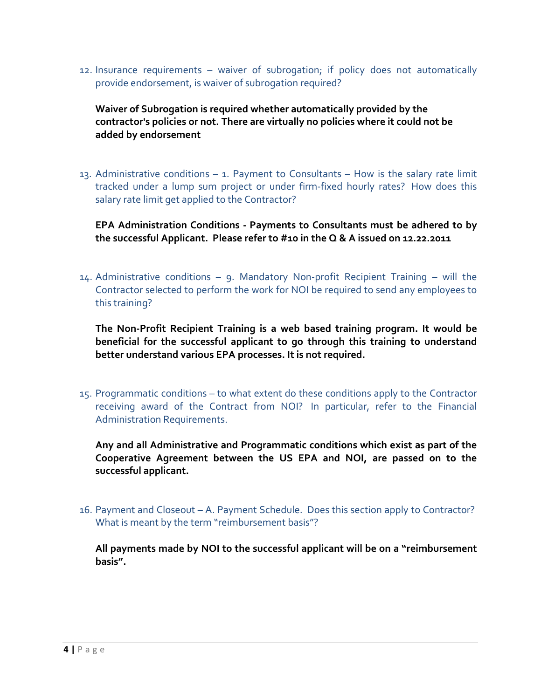12. Insurance requirements – waiver of subrogation; if policy does not automatically provide endorsement, is waiver of subrogation required?

**Waiver of Subrogation is required whether automatically provided by the contractor's policies or not. There are virtually no policies where it could not be added by endorsement**

13. Administrative conditions – 1. Payment to Consultants – How is the salary rate limit tracked under a lump sum project or under firm-fixed hourly rates? How does this salary rate limit get applied to the Contractor?

**EPA Administration Conditions - Payments to Consultants must be adhered to by the successful Applicant. Please refer to #10 in the Q & A issued on 12.22.2011**

14. Administrative conditions – 9. Mandatory Non-profit Recipient Training – will the Contractor selected to perform the work for NOI be required to send any employees to this training?

**The Non-Profit Recipient Training is a web based training program. It would be beneficial for the successful applicant to go through this training to understand better understand various EPA processes. It is not required.** 

15. Programmatic conditions – to what extent do these conditions apply to the Contractor receiving award of the Contract from NOI? In particular, refer to the Financial Administration Requirements.

**Any and all Administrative and Programmatic conditions which exist as part of the Cooperative Agreement between the US EPA and NOI, are passed on to the successful applicant.** 

16. Payment and Closeout – A. Payment Schedule. Does this section apply to Contractor? What is meant by the term "reimbursement basis"?

**All payments made by NOI to the successful applicant will be on a "reimbursement basis".**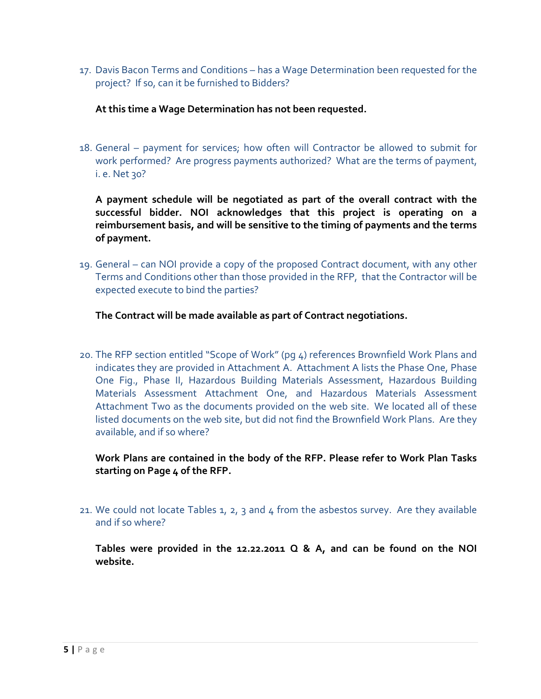17. Davis Bacon Terms and Conditions – has a Wage Determination been requested for the project? If so, can it be furnished to Bidders?

## **At this time a Wage Determination has not been requested.**

18. General – payment for services; how often will Contractor be allowed to submit for work performed? Are progress payments authorized? What are the terms of payment, i. e. Net 30?

**A payment schedule will be negotiated as part of the overall contract with the successful bidder. NOI acknowledges that this project is operating on a reimbursement basis, and will be sensitive to the timing of payments and the terms of payment.** 

19. General – can NOI provide a copy of the proposed Contract document, with any other Terms and Conditions other than those provided in the RFP, that the Contractor will be expected execute to bind the parties?

# **The Contract will be made available as part of Contract negotiations.**

20. The RFP section entitled "Scope of Work" (pg 4) references Brownfield Work Plans and indicates they are provided in Attachment A. Attachment A lists the Phase One, Phase One Fig., Phase II, Hazardous Building Materials Assessment, Hazardous Building Materials Assessment Attachment One, and Hazardous Materials Assessment Attachment Two as the documents provided on the web site. We located all of these listed documents on the web site, but did not find the Brownfield Work Plans. Are they available, and if so where?

# **Work Plans are contained in the body of the RFP. Please refer to Work Plan Tasks starting on Page 4 of the RFP.**

21. We could not locate Tables 1, 2, 3 and 4 from the asbestos survey. Are they available and if so where?

**Tables were provided in the 12.22.2011 Q & A, and can be found on the NOI website.**